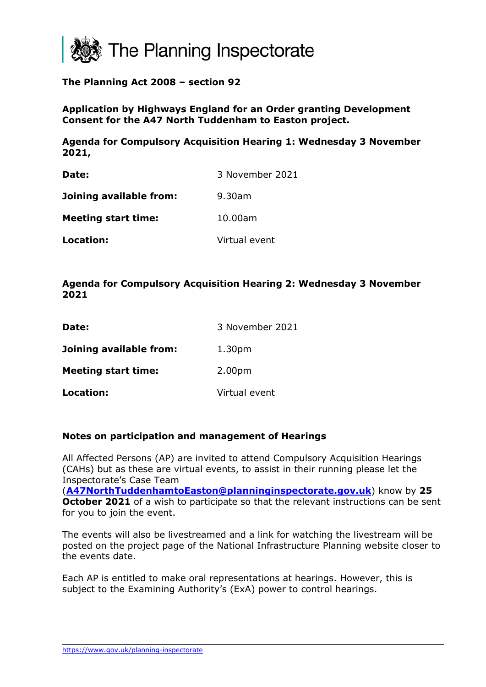

## **The Planning Act 2008 – section 92**

**Application by Highways England for an Order granting Development Consent for the A47 North Tuddenham to Easton project.** 

**Agenda for Compulsory Acquisition Hearing 1: Wednesday 3 November 2021,** 

| Date:                      | 3 November 2021 |
|----------------------------|-----------------|
| Joining available from:    | $9.30$ am       |
| <b>Meeting start time:</b> | 10.00am         |
| Location:                  | Virtual event   |

### **Agenda for Compulsory Acquisition Hearing 2: Wednesday 3 November 2021**

| Date:                      | 3 November 2021    |
|----------------------------|--------------------|
| Joining available from:    | 1.30 <sub>pm</sub> |
| <b>Meeting start time:</b> | 2.00 <sub>pm</sub> |
| Location:                  | Virtual event      |

#### **Notes on participation and management of Hearings**

All Affected Persons (AP) are invited to attend Compulsory Acquisition Hearings (CAHs) but as these are virtual events, to assist in their running please let the Inspectorate's Case Team

(**[A47NorthTuddenhamtoEaston@planninginspectorate.gov.uk](mailto:A47NorthTuddenhamtoEaston@planninginspectorate.gov.uk)**) know by **25 October 2021** of a wish to participate so that the relevant instructions can be sent for you to join the event.

The events will also be livestreamed and a link for watching the livestream will be posted on the project page of the National Infrastructure Planning website closer to the events date.

Each AP is entitled to make oral representations at hearings. However, this is subject to the Examining Authority's (ExA) power to control hearings.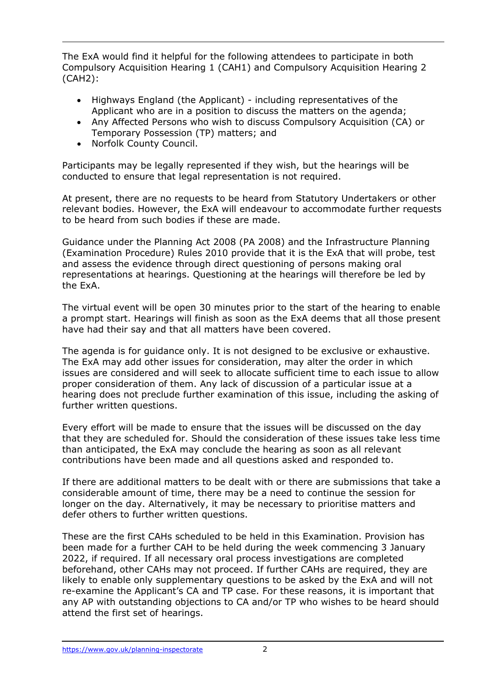The ExA would find it helpful for the following attendees to participate in both Compulsory Acquisition Hearing 1 (CAH1) and Compulsory Acquisition Hearing 2 (CAH2):

- Highways England (the Applicant) including representatives of the Applicant who are in a position to discuss the matters on the agenda;
- Any Affected Persons who wish to discuss Compulsory Acquisition (CA) or Temporary Possession (TP) matters; and
- Norfolk County Council.

Participants may be legally represented if they wish, but the hearings will be conducted to ensure that legal representation is not required.

At present, there are no requests to be heard from Statutory Undertakers or other relevant bodies. However, the ExA will endeavour to accommodate further requests to be heard from such bodies if these are made.

Guidance under the Planning Act 2008 (PA 2008) and the Infrastructure Planning (Examination Procedure) Rules 2010 provide that it is the ExA that will probe, test and assess the evidence through direct questioning of persons making oral representations at hearings. Questioning at the hearings will therefore be led by the ExA.

The virtual event will be open 30 minutes prior to the start of the hearing to enable a prompt start. Hearings will finish as soon as the ExA deems that all those present have had their say and that all matters have been covered.

The agenda is for guidance only. It is not designed to be exclusive or exhaustive. The ExA may add other issues for consideration, may alter the order in which issues are considered and will seek to allocate sufficient time to each issue to allow proper consideration of them. Any lack of discussion of a particular issue at a hearing does not preclude further examination of this issue, including the asking of further written questions.

Every effort will be made to ensure that the issues will be discussed on the day that they are scheduled for. Should the consideration of these issues take less time than anticipated, the ExA may conclude the hearing as soon as all relevant contributions have been made and all questions asked and responded to.

If there are additional matters to be dealt with or there are submissions that take a considerable amount of time, there may be a need to continue the session for longer on the day. Alternatively, it may be necessary to prioritise matters and defer others to further written questions.

These are the first CAHs scheduled to be held in this Examination. Provision has been made for a further CAH to be held during the week commencing 3 January 2022, if required. If all necessary oral process investigations are completed beforehand, other CAHs may not proceed. If further CAHs are required, they are likely to enable only supplementary questions to be asked by the ExA and will not re-examine the Applicant's CA and TP case. For these reasons, it is important that any AP with outstanding objections to CA and/or TP who wishes to be heard should attend the first set of hearings.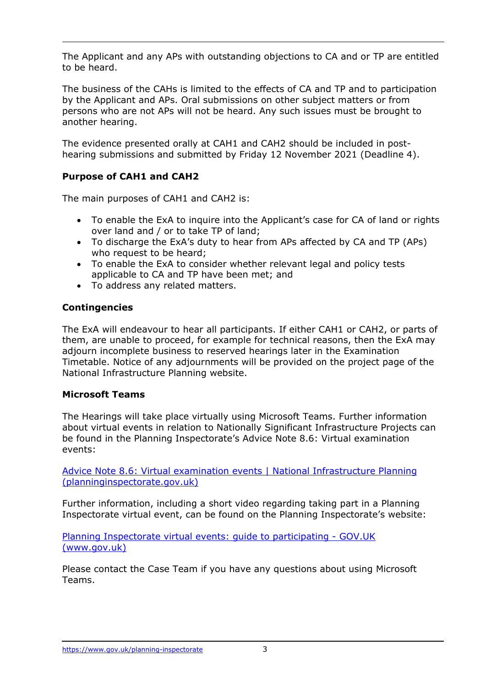The Applicant and any APs with outstanding objections to CA and or TP are entitled to be heard.

The business of the CAHs is limited to the effects of CA and TP and to participation by the Applicant and APs. Oral submissions on other subject matters or from persons who are not APs will not be heard. Any such issues must be brought to another hearing.

The evidence presented orally at CAH1 and CAH2 should be included in posthearing submissions and submitted by Friday 12 November 2021 (Deadline 4).

# **Purpose of CAH1 and CAH2**

The main purposes of CAH1 and CAH2 is:

- To enable the ExA to inquire into the Applicant's case for CA of land or rights over land and / or to take TP of land;
- To discharge the ExA's duty to hear from APs affected by CA and TP (APs) who request to be heard;
- To enable the ExA to consider whether relevant legal and policy tests applicable to CA and TP have been met; and
- To address any related matters.

## **Contingencies**

The ExA will endeavour to hear all participants. If either CAH1 or CAH2, or parts of them, are unable to proceed, for example for technical reasons, then the ExA may adjourn incomplete business to reserved hearings later in the Examination Timetable. Notice of any adjournments will be provided on the project page of the National Infrastructure Planning website.

## **Microsoft Teams**

The Hearings will take place virtually using Microsoft Teams. Further information about virtual events in relation to Nationally Significant Infrastructure Projects can be found in the Planning Inspectorate's Advice Note 8.6: Virtual examination events:

[Advice Note 8.6: Virtual examination events | National Infrastructure Planning](https://infrastructure.planninginspectorate.gov.uk/legislation-and-advice/advice-notes/advice-note-8-6-virtual-examination-events/#2)  [\(planninginspectorate.gov.uk\)](https://infrastructure.planninginspectorate.gov.uk/legislation-and-advice/advice-notes/advice-note-8-6-virtual-examination-events/#2)

Further information, including a short video regarding taking part in a Planning Inspectorate virtual event, can be found on the Planning Inspectorate's website:

[Planning Inspectorate virtual events: guide to participating -](https://www.gov.uk/government/publications/planning-inspectorate-virtual-events-guide-to-participating) GOV.UK [\(www.gov.uk\)](https://www.gov.uk/government/publications/planning-inspectorate-virtual-events-guide-to-participating)

Please contact the Case Team if you have any questions about using Microsoft Teams.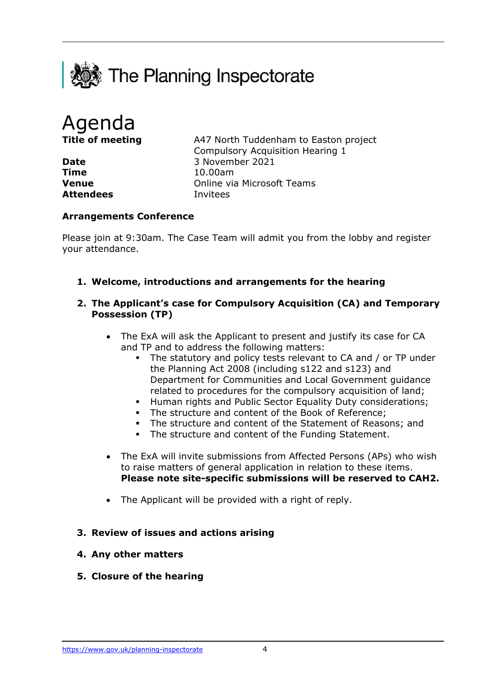

Agenda

**Time** 10.00am **Attendees** Invitees

**Title of meeting** A47 North Tuddenham to Easton project Compulsory Acquisition Hearing 1 **Date** 3 November 2021 **Venue** Online via Microsoft Teams

### **Arrangements Conference**

Please join at 9:30am. The Case Team will admit you from the lobby and register your attendance.

**1. Welcome, introductions and arrangements for the hearing** 

#### **2. The Applicant's case for Compulsory Acquisition (CA) and Temporary Possession (TP)**

- The ExA will ask the Applicant to present and justify its case for CA and TP and to address the following matters:
	- The statutory and policy tests relevant to CA and / or TP under the Planning Act 2008 (including s122 and s123) and Department for Communities and Local Government guidance related to procedures for the compulsory acquisition of land;
	- **Human rights and Public Sector Equality Duty considerations;**
	- The structure and content of the Book of Reference;
	- The structure and content of the Statement of Reasons; and
	- The structure and content of the Funding Statement.
- The ExA will invite submissions from Affected Persons (APs) who wish to raise matters of general application in relation to these items. **Please note site-specific submissions will be reserved to CAH2.**
- The Applicant will be provided with a right of reply.

### **3. Review of issues and actions arising**

- **4. Any other matters**
- **5. Closure of the hearing**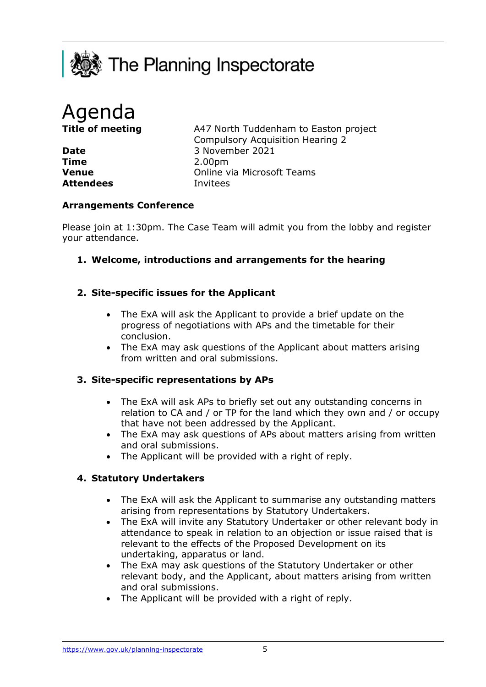



**Time** 2.00pm **Attendees** Invitees

**Title of meeting** A47 North Tuddenham to Easton project Compulsory Acquisition Hearing 2 Date 3 November 2021 **Venue Venue Online via Microsoft Teams** 

#### **Arrangements Conference**

Please join at 1:30pm. The Case Team will admit you from the lobby and register your attendance.

**1. Welcome, introductions and arrangements for the hearing** 

### **2. Site-specific issues for the Applicant**

- The ExA will ask the Applicant to provide a brief update on the progress of negotiations with APs and the timetable for their conclusion.
- The ExA may ask questions of the Applicant about matters arising from written and oral submissions.

#### **3. Site-specific representations by APs**

- The ExA will ask APs to briefly set out any outstanding concerns in relation to CA and / or TP for the land which they own and / or occupy that have not been addressed by the Applicant.
- The ExA may ask questions of APs about matters arising from written and oral submissions.
- The Applicant will be provided with a right of reply.

### **4. Statutory Undertakers**

- The ExA will ask the Applicant to summarise any outstanding matters arising from representations by Statutory Undertakers.
- The ExA will invite any Statutory Undertaker or other relevant body in attendance to speak in relation to an objection or issue raised that is relevant to the effects of the Proposed Development on its undertaking, apparatus or land.
- The ExA may ask questions of the Statutory Undertaker or other relevant body, and the Applicant, about matters arising from written and oral submissions.
- The Applicant will be provided with a right of reply.